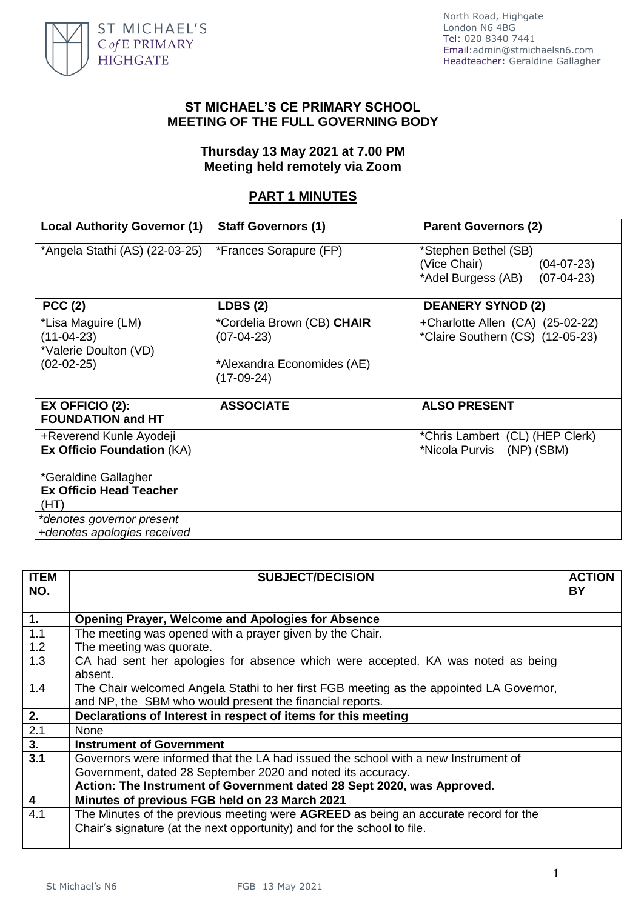

## **ST MICHAEL'S CE PRIMARY SCHOOL MEETING OF THE FULL GOVERNING BODY**

## **Thursday 13 May 2021 at 7.00 PM Meeting held remotely via Zoom**

## **PART 1 MINUTES**

| <b>Local Authority Governor (1)</b>                                         | <b>Staff Governors (1)</b>                                                               | <b>Parent Governors (2)</b>                                                                |
|-----------------------------------------------------------------------------|------------------------------------------------------------------------------------------|--------------------------------------------------------------------------------------------|
| *Angela Stathi (AS) (22-03-25)                                              | *Frances Sorapure (FP)                                                                   | *Stephen Bethel (SB)<br>(Vice Chair)<br>$(04-07-23)$<br>*Adel Burgess (AB)<br>$(07-04-23)$ |
| <b>PCC (2)</b>                                                              | LDBS(2)                                                                                  | <b>DEANERY SYNOD (2)</b>                                                                   |
| *Lisa Maguire (LM)<br>$(11-04-23)$<br>*Valerie Doulton (VD)<br>$(02-02-25)$ | *Cordelia Brown (CB) CHAIR<br>$(07-04-23)$<br>*Alexandra Economides (AE)<br>$(17-09-24)$ | +Charlotte Allen (CA) (25-02-22)<br>*Claire Southern (CS) (12-05-23)                       |
| $EX$ OFFICIO (2):<br><b>FOUNDATION and HT</b>                               | <b>ASSOCIATE</b>                                                                         | <b>ALSO PRESENT</b>                                                                        |
| +Reverend Kunle Ayodeji<br><b>Ex Officio Foundation (KA)</b>                |                                                                                          | *Chris Lambert (CL) (HEP Clerk)<br>*Nicola Purvis (NP) (SBM)                               |
| *Geraldine Gallagher<br><b>Ex Officio Head Teacher</b><br>(HT)              |                                                                                          |                                                                                            |
| *denotes governor present<br>+denotes apologies received                    |                                                                                          |                                                                                            |

| <b>ITEM</b><br>NO. | <b>SUBJECT/DECISION</b>                                                                     | <b>ACTION</b><br><b>BY</b> |
|--------------------|---------------------------------------------------------------------------------------------|----------------------------|
| 1.                 | <b>Opening Prayer, Welcome and Apologies for Absence</b>                                    |                            |
| 1.1                | The meeting was opened with a prayer given by the Chair.                                    |                            |
| 1.2                | The meeting was quorate.                                                                    |                            |
| 1.3                | CA had sent her apologies for absence which were accepted. KA was noted as being<br>absent. |                            |
| 1.4                | The Chair welcomed Angela Stathi to her first FGB meeting as the appointed LA Governor,     |                            |
|                    | and NP, the SBM who would present the financial reports.                                    |                            |
| 2.                 | Declarations of Interest in respect of items for this meeting                               |                            |
| 2.1                | None                                                                                        |                            |
| 3.                 | <b>Instrument of Government</b>                                                             |                            |
| $\overline{3.1}$   | Governors were informed that the LA had issued the school with a new Instrument of          |                            |
|                    | Government, dated 28 September 2020 and noted its accuracy.                                 |                            |
|                    | Action: The Instrument of Government dated 28 Sept 2020, was Approved.                      |                            |
| $\overline{4}$     | Minutes of previous FGB held on 23 March 2021                                               |                            |
| 4.1                | The Minutes of the previous meeting were AGREED as being an accurate record for the         |                            |
|                    | Chair's signature (at the next opportunity) and for the school to file.                     |                            |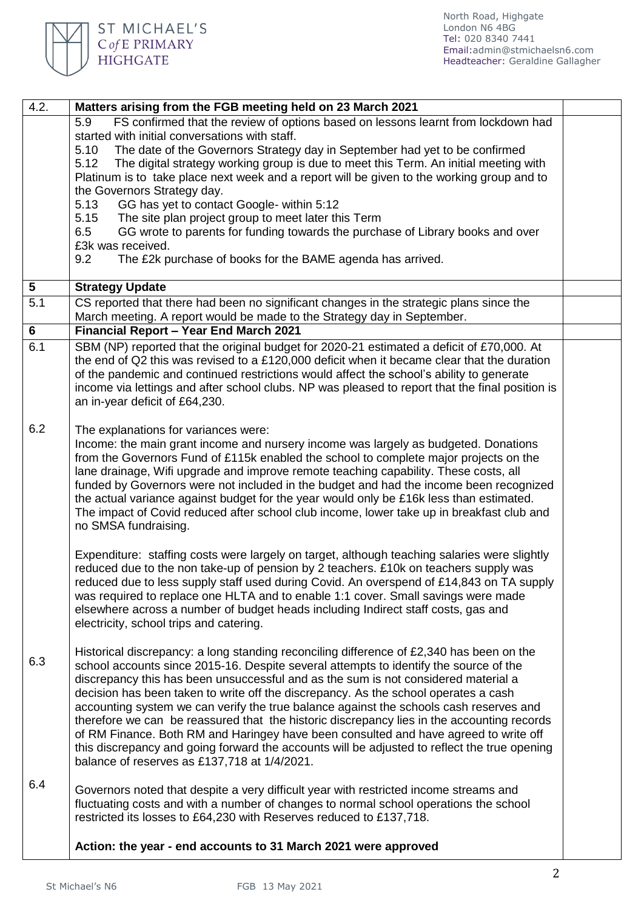

| 4.2.             | Matters arising from the FGB meeting held on 23 March 2021                                                                                                                           |  |
|------------------|--------------------------------------------------------------------------------------------------------------------------------------------------------------------------------------|--|
|                  | FS confirmed that the review of options based on lessons learnt from lockdown had<br>5.9                                                                                             |  |
|                  | started with initial conversations with staff.                                                                                                                                       |  |
|                  | 5.10<br>The date of the Governors Strategy day in September had yet to be confirmed                                                                                                  |  |
|                  | 5.12<br>The digital strategy working group is due to meet this Term. An initial meeting with                                                                                         |  |
|                  | Platinum is to take place next week and a report will be given to the working group and to<br>the Governors Strategy day.                                                            |  |
|                  | 5.13<br>GG has yet to contact Google- within 5:12                                                                                                                                    |  |
|                  | 5.15<br>The site plan project group to meet later this Term                                                                                                                          |  |
|                  | GG wrote to parents for funding towards the purchase of Library books and over<br>6.5                                                                                                |  |
|                  | £3k was received.                                                                                                                                                                    |  |
|                  | 9.2<br>The £2k purchase of books for the BAME agenda has arrived.                                                                                                                    |  |
|                  |                                                                                                                                                                                      |  |
| 5                | <b>Strategy Update</b>                                                                                                                                                               |  |
| $\overline{5.1}$ | CS reported that there had been no significant changes in the strategic plans since the<br>March meeting. A report would be made to the Strategy day in September.                   |  |
| 6                | Financial Report - Year End March 2021                                                                                                                                               |  |
| 6.1              | SBM (NP) reported that the original budget for 2020-21 estimated a deficit of £70,000. At                                                                                            |  |
|                  | the end of Q2 this was revised to a £120,000 deficit when it became clear that the duration                                                                                          |  |
|                  | of the pandemic and continued restrictions would affect the school's ability to generate                                                                                             |  |
|                  | income via lettings and after school clubs. NP was pleased to report that the final position is                                                                                      |  |
|                  | an in-year deficit of £64,230.                                                                                                                                                       |  |
|                  |                                                                                                                                                                                      |  |
| 6.2              | The explanations for variances were:                                                                                                                                                 |  |
|                  | Income: the main grant income and nursery income was largely as budgeted. Donations                                                                                                  |  |
|                  | from the Governors Fund of £115k enabled the school to complete major projects on the<br>lane drainage, Wifi upgrade and improve remote teaching capability. These costs, all        |  |
|                  | funded by Governors were not included in the budget and had the income been recognized                                                                                               |  |
|                  | the actual variance against budget for the year would only be £16k less than estimated.                                                                                              |  |
|                  | The impact of Covid reduced after school club income, lower take up in breakfast club and                                                                                            |  |
|                  | no SMSA fundraising.                                                                                                                                                                 |  |
|                  |                                                                                                                                                                                      |  |
|                  | Expenditure: staffing costs were largely on target, although teaching salaries were slightly                                                                                         |  |
|                  | reduced due to the non take-up of pension by 2 teachers. £10k on teachers supply was                                                                                                 |  |
|                  | reduced due to less supply staff used during Covid. An overspend of £14,843 on TA supply<br>was required to replace one HLTA and to enable 1:1 cover. Small savings were made        |  |
|                  | elsewhere across a number of budget heads including Indirect staff costs, gas and                                                                                                    |  |
|                  | electricity, school trips and catering.                                                                                                                                              |  |
|                  |                                                                                                                                                                                      |  |
|                  | Historical discrepancy: a long standing reconciling difference of £2,340 has been on the                                                                                             |  |
| 6.3              | school accounts since 2015-16. Despite several attempts to identify the source of the                                                                                                |  |
|                  | discrepancy this has been unsuccessful and as the sum is not considered material a                                                                                                   |  |
|                  | decision has been taken to write off the discrepancy. As the school operates a cash                                                                                                  |  |
|                  | accounting system we can verify the true balance against the schools cash reserves and<br>therefore we can be reassured that the historic discrepancy lies in the accounting records |  |
|                  | of RM Finance. Both RM and Haringey have been consulted and have agreed to write off                                                                                                 |  |
|                  | this discrepancy and going forward the accounts will be adjusted to reflect the true opening                                                                                         |  |
|                  | balance of reserves as £137,718 at 1/4/2021.                                                                                                                                         |  |
|                  |                                                                                                                                                                                      |  |
| 6.4              | Governors noted that despite a very difficult year with restricted income streams and                                                                                                |  |
|                  | fluctuating costs and with a number of changes to normal school operations the school                                                                                                |  |
|                  | restricted its losses to £64,230 with Reserves reduced to £137,718.                                                                                                                  |  |
|                  |                                                                                                                                                                                      |  |
|                  | Action: the year - end accounts to 31 March 2021 were approved                                                                                                                       |  |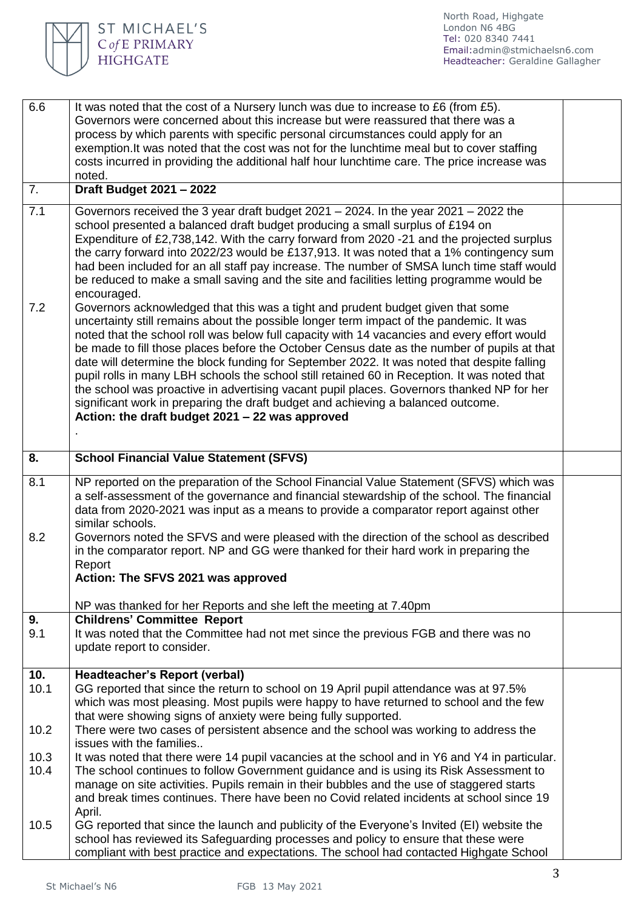

| 6.6         | It was noted that the cost of a Nursery lunch was due to increase to £6 (from £5).<br>Governors were concerned about this increase but were reassured that there was a<br>process by which parents with specific personal circumstances could apply for an<br>exemption. It was noted that the cost was not for the lunchtime meal but to cover staffing<br>costs incurred in providing the additional half hour lunchtime care. The price increase was<br>noted.                                                                                                                                                                                                                                                        |  |
|-------------|--------------------------------------------------------------------------------------------------------------------------------------------------------------------------------------------------------------------------------------------------------------------------------------------------------------------------------------------------------------------------------------------------------------------------------------------------------------------------------------------------------------------------------------------------------------------------------------------------------------------------------------------------------------------------------------------------------------------------|--|
| 7.          | Draft Budget 2021 - 2022                                                                                                                                                                                                                                                                                                                                                                                                                                                                                                                                                                                                                                                                                                 |  |
| 7.1<br>7.2  | Governors received the 3 year draft budget $2021 - 2024$ . In the year $2021 - 2022$ the<br>school presented a balanced draft budget producing a small surplus of £194 on<br>Expenditure of £2,738,142. With the carry forward from 2020 -21 and the projected surplus<br>the carry forward into 2022/23 would be £137,913. It was noted that a 1% contingency sum<br>had been included for an all staff pay increase. The number of SMSA lunch time staff would<br>be reduced to make a small saving and the site and facilities letting programme would be<br>encouraged.<br>Governors acknowledged that this was a tight and prudent budget given that some                                                           |  |
|             | uncertainty still remains about the possible longer term impact of the pandemic. It was<br>noted that the school roll was below full capacity with 14 vacancies and every effort would<br>be made to fill those places before the October Census date as the number of pupils at that<br>date will determine the block funding for September 2022. It was noted that despite falling<br>pupil rolls in many LBH schools the school still retained 60 in Reception. It was noted that<br>the school was proactive in advertising vacant pupil places. Governors thanked NP for her<br>significant work in preparing the draft budget and achieving a balanced outcome.<br>Action: the draft budget 2021 - 22 was approved |  |
| 8.          | <b>School Financial Value Statement (SFVS)</b>                                                                                                                                                                                                                                                                                                                                                                                                                                                                                                                                                                                                                                                                           |  |
| 8.1<br>8.2  | NP reported on the preparation of the School Financial Value Statement (SFVS) which was<br>a self-assessment of the governance and financial stewardship of the school. The financial<br>data from 2020-2021 was input as a means to provide a comparator report against other<br>similar schools.<br>Governors noted the SFVS and were pleased with the direction of the school as described<br>in the comparator report. NP and GG were thanked for their hard work in preparing the<br>Report<br>Action: The SFVS 2021 was approved                                                                                                                                                                                   |  |
|             | NP was thanked for her Reports and she left the meeting at 7.40pm                                                                                                                                                                                                                                                                                                                                                                                                                                                                                                                                                                                                                                                        |  |
| 9.<br>9.1   | <b>Childrens' Committee Report</b><br>It was noted that the Committee had not met since the previous FGB and there was no<br>update report to consider.                                                                                                                                                                                                                                                                                                                                                                                                                                                                                                                                                                  |  |
| 10.<br>10.1 | <b>Headteacher's Report (verbal)</b><br>GG reported that since the return to school on 19 April pupil attendance was at 97.5%<br>which was most pleasing. Most pupils were happy to have returned to school and the few<br>that were showing signs of anxiety were being fully supported.                                                                                                                                                                                                                                                                                                                                                                                                                                |  |
| 10.2        | There were two cases of persistent absence and the school was working to address the<br>issues with the families                                                                                                                                                                                                                                                                                                                                                                                                                                                                                                                                                                                                         |  |
| 10.3        | It was noted that there were 14 pupil vacancies at the school and in Y6 and Y4 in particular.                                                                                                                                                                                                                                                                                                                                                                                                                                                                                                                                                                                                                            |  |
| 10.4        | The school continues to follow Government guidance and is using its Risk Assessment to<br>manage on site activities. Pupils remain in their bubbles and the use of staggered starts<br>and break times continues. There have been no Covid related incidents at school since 19<br>April.                                                                                                                                                                                                                                                                                                                                                                                                                                |  |
| 10.5        | GG reported that since the launch and publicity of the Everyone's Invited (EI) website the<br>school has reviewed its Safeguarding processes and policy to ensure that these were<br>compliant with best practice and expectations. The school had contacted Highgate School                                                                                                                                                                                                                                                                                                                                                                                                                                             |  |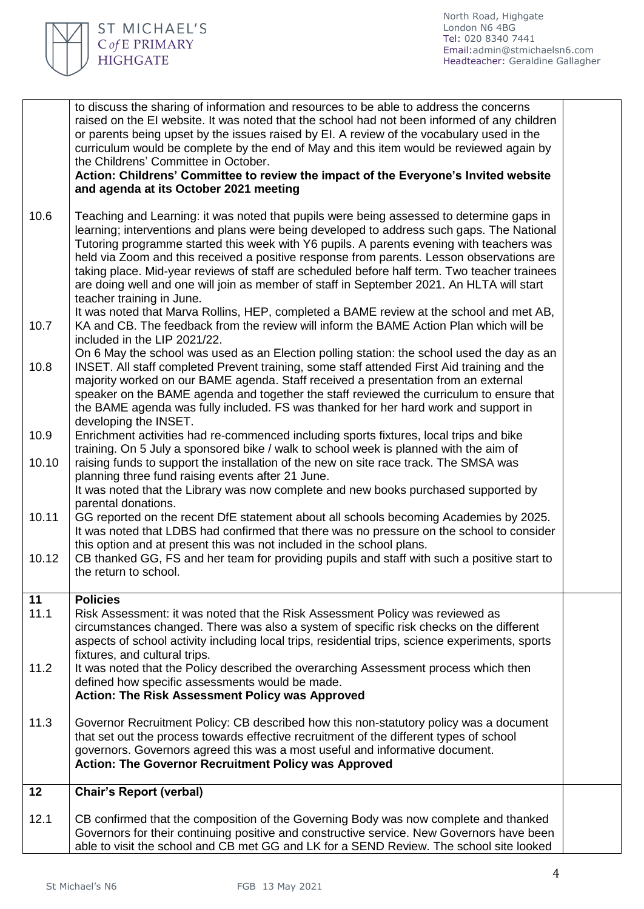

|       | to discuss the sharing of information and resources to be able to address the concerns<br>raised on the EI website. It was noted that the school had not been informed of any children<br>or parents being upset by the issues raised by EI. A review of the vocabulary used in the<br>curriculum would be complete by the end of May and this item would be reviewed again by<br>the Childrens' Committee in October.<br>Action: Childrens' Committee to review the impact of the Everyone's Invited website<br>and agenda at its October 2021 meeting                                                  |  |
|-------|----------------------------------------------------------------------------------------------------------------------------------------------------------------------------------------------------------------------------------------------------------------------------------------------------------------------------------------------------------------------------------------------------------------------------------------------------------------------------------------------------------------------------------------------------------------------------------------------------------|--|
| 10.6  | Teaching and Learning: it was noted that pupils were being assessed to determine gaps in<br>learning; interventions and plans were being developed to address such gaps. The National<br>Tutoring programme started this week with Y6 pupils. A parents evening with teachers was<br>held via Zoom and this received a positive response from parents. Lesson observations are<br>taking place. Mid-year reviews of staff are scheduled before half term. Two teacher trainees<br>are doing well and one will join as member of staff in September 2021. An HLTA will start<br>teacher training in June. |  |
| 10.7  | It was noted that Marva Rollins, HEP, completed a BAME review at the school and met AB,<br>KA and CB. The feedback from the review will inform the BAME Action Plan which will be<br>included in the LIP 2021/22.                                                                                                                                                                                                                                                                                                                                                                                        |  |
| 10.8  | On 6 May the school was used as an Election polling station: the school used the day as an<br>INSET. All staff completed Prevent training, some staff attended First Aid training and the<br>majority worked on our BAME agenda. Staff received a presentation from an external<br>speaker on the BAME agenda and together the staff reviewed the curriculum to ensure that<br>the BAME agenda was fully included. FS was thanked for her hard work and support in<br>developing the INSET.                                                                                                              |  |
| 10.9  | Enrichment activities had re-commenced including sports fixtures, local trips and bike                                                                                                                                                                                                                                                                                                                                                                                                                                                                                                                   |  |
| 10.10 | training. On 5 July a sponsored bike / walk to school week is planned with the aim of<br>raising funds to support the installation of the new on site race track. The SMSA was<br>planning three fund raising events after 21 June.<br>It was noted that the Library was now complete and new books purchased supported by<br>parental donations.                                                                                                                                                                                                                                                        |  |
| 10.11 | GG reported on the recent DfE statement about all schools becoming Academies by 2025.<br>It was noted that LDBS had confirmed that there was no pressure on the school to consider<br>this option and at present this was not included in the school plans.                                                                                                                                                                                                                                                                                                                                              |  |
| 10.12 | CB thanked GG, FS and her team for providing pupils and staff with such a positive start to<br>the return to school.                                                                                                                                                                                                                                                                                                                                                                                                                                                                                     |  |
| 11    | <b>Policies</b>                                                                                                                                                                                                                                                                                                                                                                                                                                                                                                                                                                                          |  |
| 11.1  | Risk Assessment: it was noted that the Risk Assessment Policy was reviewed as<br>circumstances changed. There was also a system of specific risk checks on the different<br>aspects of school activity including local trips, residential trips, science experiments, sports<br>fixtures, and cultural trips.                                                                                                                                                                                                                                                                                            |  |
| 11.2  | It was noted that the Policy described the overarching Assessment process which then<br>defined how specific assessments would be made.<br><b>Action: The Risk Assessment Policy was Approved</b>                                                                                                                                                                                                                                                                                                                                                                                                        |  |
| 11.3  | Governor Recruitment Policy: CB described how this non-statutory policy was a document<br>that set out the process towards effective recruitment of the different types of school<br>governors. Governors agreed this was a most useful and informative document.<br><b>Action: The Governor Recruitment Policy was Approved</b>                                                                                                                                                                                                                                                                         |  |
| 12    | <b>Chair's Report (verbal)</b>                                                                                                                                                                                                                                                                                                                                                                                                                                                                                                                                                                           |  |
| 12.1  | CB confirmed that the composition of the Governing Body was now complete and thanked<br>Governors for their continuing positive and constructive service. New Governors have been<br>able to visit the school and CB met GG and LK for a SEND Review. The school site looked                                                                                                                                                                                                                                                                                                                             |  |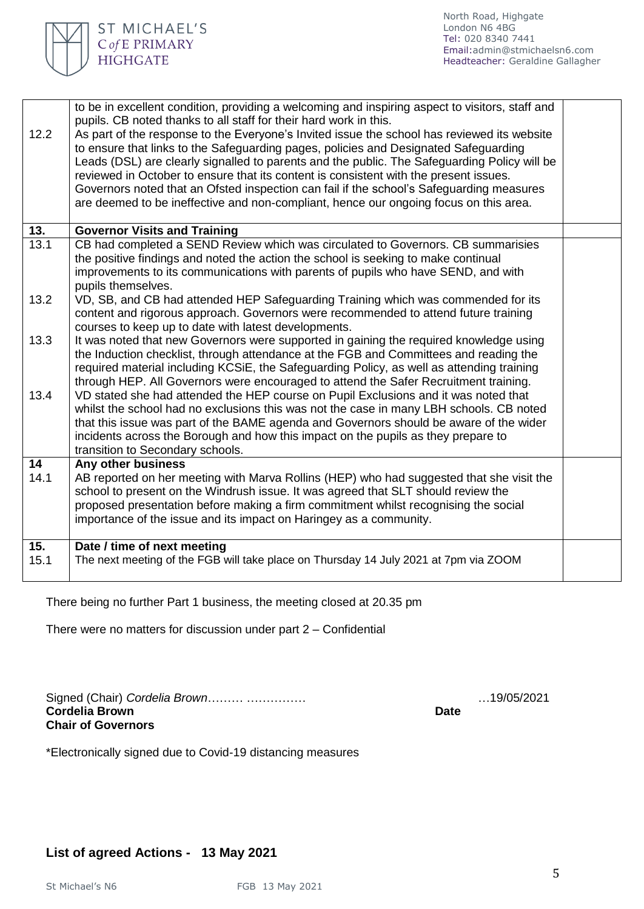

| to be in excellent condition, providing a welcoming and inspiring aspect to visitors, staff and<br>pupils. CB noted thanks to all staff for their hard work in this.<br>As part of the response to the Everyone's Invited issue the school has reviewed its website<br>to ensure that links to the Safeguarding pages, policies and Designated Safeguarding<br>Leads (DSL) are clearly signalled to parents and the public. The Safeguarding Policy will be<br>reviewed in October to ensure that its content is consistent with the present issues.<br>Governors noted that an Ofsted inspection can fail if the school's Safeguarding measures<br>are deemed to be ineffective and non-compliant, hence our ongoing focus on this area. |                                     |
|-------------------------------------------------------------------------------------------------------------------------------------------------------------------------------------------------------------------------------------------------------------------------------------------------------------------------------------------------------------------------------------------------------------------------------------------------------------------------------------------------------------------------------------------------------------------------------------------------------------------------------------------------------------------------------------------------------------------------------------------|-------------------------------------|
|                                                                                                                                                                                                                                                                                                                                                                                                                                                                                                                                                                                                                                                                                                                                           |                                     |
| CB had completed a SEND Review which was circulated to Governors. CB summarisies<br>the positive findings and noted the action the school is seeking to make continual<br>improvements to its communications with parents of pupils who have SEND, and with<br>pupils themselves.                                                                                                                                                                                                                                                                                                                                                                                                                                                         |                                     |
| VD, SB, and CB had attended HEP Safeguarding Training which was commended for its<br>content and rigorous approach. Governors were recommended to attend future training<br>courses to keep up to date with latest developments.                                                                                                                                                                                                                                                                                                                                                                                                                                                                                                          |                                     |
| It was noted that new Governors were supported in gaining the required knowledge using<br>the Induction checklist, through attendance at the FGB and Committees and reading the<br>required material including KCSiE, the Safeguarding Policy, as well as attending training<br>through HEP. All Governors were encouraged to attend the Safer Recruitment training.                                                                                                                                                                                                                                                                                                                                                                      |                                     |
| VD stated she had attended the HEP course on Pupil Exclusions and it was noted that<br>whilst the school had no exclusions this was not the case in many LBH schools. CB noted<br>that this issue was part of the BAME agenda and Governors should be aware of the wider<br>incidents across the Borough and how this impact on the pupils as they prepare to<br>transition to Secondary schools.                                                                                                                                                                                                                                                                                                                                         |                                     |
| Any other business                                                                                                                                                                                                                                                                                                                                                                                                                                                                                                                                                                                                                                                                                                                        |                                     |
| AB reported on her meeting with Marva Rollins (HEP) who had suggested that she visit the<br>school to present on the Windrush issue. It was agreed that SLT should review the<br>proposed presentation before making a firm commitment whilst recognising the social<br>importance of the issue and its impact on Haringey as a community.                                                                                                                                                                                                                                                                                                                                                                                                |                                     |
| Date / time of next meeting<br>The next meeting of the FGB will take place on Thursday 14 July 2021 at 7pm via ZOOM                                                                                                                                                                                                                                                                                                                                                                                                                                                                                                                                                                                                                       |                                     |
|                                                                                                                                                                                                                                                                                                                                                                                                                                                                                                                                                                                                                                                                                                                                           | <b>Governor Visits and Training</b> |

There being no further Part 1 business, the meeting closed at 20.35 pm

There were no matters for discussion under part 2 – Confidential

Signed (Chair) *Cordelia Brown*……… …………… …19/05/2021 **Cordelia Brown Date Chair of Governors** 

ST MICHAEL'S C of E PRIMARY **HIGHGATE** 

\*Electronically signed due to Covid-19 distancing measures

## **List of agreed Actions - 13 May 2021**